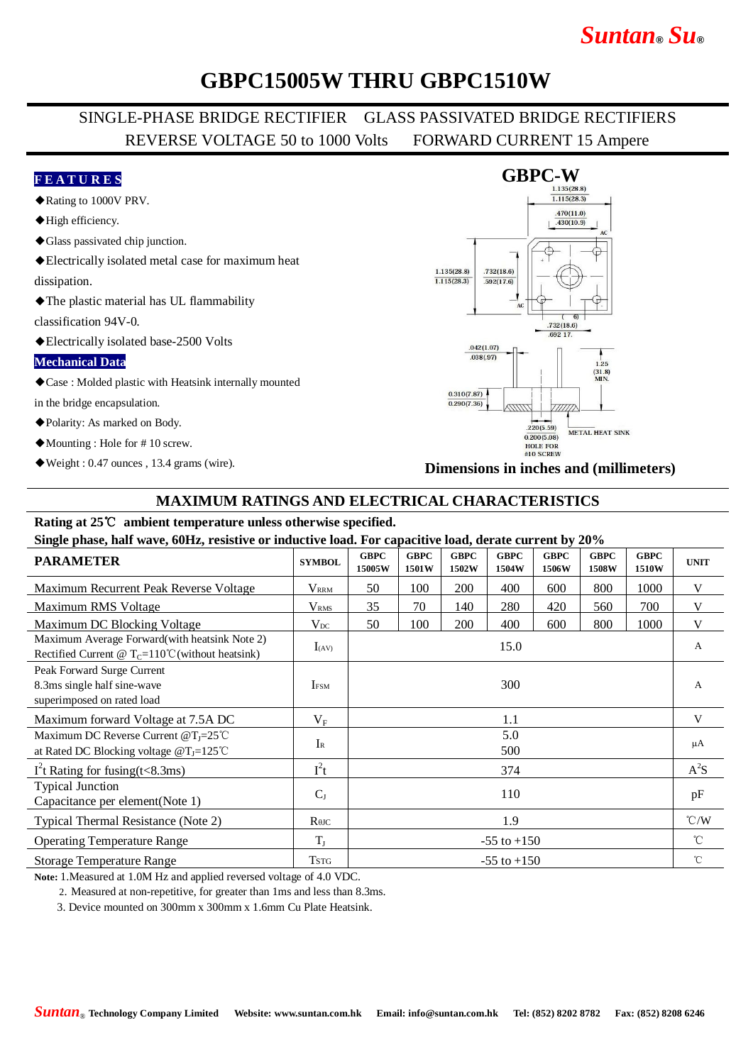# *Suntan***®** *Su***®**

## **GBPC15005W THRU GBPC1510W**

## SINGLE-PHASE BRIDGE RECTIFIER GLASS PASSIVATED BRIDGE RECTIFIERS REVERSE VOLTAGE 50 to 1000 Volts FORWARD CURRENT 15 Ampere

#### **F E A T U R E S**

- ◆Rating to 1000V PRV.
- ◆High efficiency.
- ◆Glass passivated chip junction.
- ◆Electrically isolated metal case for maximum heat

dissipation.

◆The plastic material has UL flammability

classification 94V-0.

◆Electrically isolated base-2500 Volts

#### **Mechanical Data**

◆Case : Molded plastic with Heatsink internally mounted

in the bridge encapsulation.

- ◆Polarity: As marked on Body.
- ◆Mounting : Hole for # 10 screw.
- ◆Weight : 0.47 ounces , 13.4 grams (wire).

#### **GBPC-W**  $\overline{1.115(28.3)}$  $.470(11.0)$  $.430(10.9)$  $1.135(28.8)$  $.732(18.6)$  $\overline{1.115(28.3)}$  $\frac{1}{0.592(17.6)}$  $61$  $\tau$  $.732(18.6)$ 692.17  $.042(1.07)$  $.038(.97)$  $1.25$  $(31.8)$ <br>MIN.  $0.310(7.87)$  $0.290(7.36)$  $220(5.59)$ METAL HEAT SINK  $0.200(5.08)$ HOLE FOR<br>#10 SCREW

**Dimensions in inches and (millimeters)**

### **MAXIMUM RATINGS AND ELECTRICAL CHARACTERISTICS**

### **Rating at 25**℃ **ambient temperature unless otherwise specified.**

**Single phase, half wave, 60Hz, resistive or inductive load. For capacitive load, derate current by 20%**

| $\frac{1}{2}$ $\frac{1}{2}$ $\frac{1}{2}$ $\frac{1}{2}$ $\frac{1}{2}$ $\frac{1}{2}$ $\frac{1}{2}$ $\frac{1}{2}$ $\frac{1}{2}$ $\frac{1}{2}$ $\frac{1}{2}$ $\frac{1}{2}$ $\frac{1}{2}$ $\frac{1}{2}$ $\frac{1}{2}$ $\frac{1}{2}$ $\frac{1}{2}$ $\frac{1}{2}$ $\frac{1}{2}$ $\frac{1}{2}$ $\frac{1}{2}$ $\frac{1}{2}$ |                 |                       |                      |                      |                      |                      |                      |                      |                         |
|---------------------------------------------------------------------------------------------------------------------------------------------------------------------------------------------------------------------------------------------------------------------------------------------------------------------|-----------------|-----------------------|----------------------|----------------------|----------------------|----------------------|----------------------|----------------------|-------------------------|
| <b>PARAMETER</b>                                                                                                                                                                                                                                                                                                    | <b>SYMBOL</b>   | <b>GBPC</b><br>15005W | <b>GBPC</b><br>1501W | <b>GBPC</b><br>1502W | <b>GBPC</b><br>1504W | <b>GBPC</b><br>1506W | <b>GBPC</b><br>1508W | <b>GBPC</b><br>1510W | <b>UNIT</b>             |
| Maximum Recurrent Peak Reverse Voltage                                                                                                                                                                                                                                                                              | <b>VRRM</b>     | 50                    | 100                  | 200                  | 400                  | 600                  | 800                  | 1000                 | V                       |
| Maximum RMS Voltage                                                                                                                                                                                                                                                                                                 | $\rm V_{RMS}$   | 35                    | 70                   | 140                  | 280                  | 420                  | 560                  | 700                  | V                       |
| Maximum DC Blocking Voltage                                                                                                                                                                                                                                                                                         | $V_{DC}$        | 50                    | 100                  | 200                  | 400                  | 600                  | 800                  | 1000                 | V                       |
| Maximum Average Forward (with heatsink Note 2)<br>Rectified Current @ $T_c=110^{\circ}$ C (without heatsink)                                                                                                                                                                                                        | $I_{(AV)}$      | 15.0                  |                      |                      |                      |                      |                      |                      | $\mathbf{A}$            |
| Peak Forward Surge Current<br>8.3ms single half sine-wave<br>superimposed on rated load                                                                                                                                                                                                                             | <b>IFSM</b>     | 300                   |                      |                      |                      |                      |                      |                      | A                       |
| Maximum forward Voltage at 7.5A DC                                                                                                                                                                                                                                                                                  | $V_{\rm F}$     | 1.1                   |                      |                      |                      |                      |                      |                      | V                       |
| Maximum DC Reverse Current @T <sub>J</sub> =25°C<br>at Rated DC Blocking voltage $@T_J=125^{\circ}C$                                                                                                                                                                                                                | $I_{R}$         | 5.0<br>500            |                      |                      |                      |                      |                      |                      | μA                      |
| $I2$ t Rating for fusing(t<8.3ms)                                                                                                                                                                                                                                                                                   | $I^2t$          | 374                   |                      |                      |                      |                      |                      |                      | $A^2S$                  |
| <b>Typical Junction</b><br>Capacitance per element(Note 1)                                                                                                                                                                                                                                                          | $C_{J}$         | 110                   |                      |                      |                      |                      |                      |                      | pF                      |
| Typical Thermal Resistance (Note 2)                                                                                                                                                                                                                                                                                 | $R$ $\theta$ JC | 1.9                   |                      |                      |                      |                      |                      |                      | $\mathrm{C}/\mathrm{W}$ |
| <b>Operating Temperature Range</b>                                                                                                                                                                                                                                                                                  | $T_{I}$         | $-55$ to $+150$       |                      |                      |                      |                      |                      |                      | $^{\circ}$ C            |
| <b>Storage Temperature Range</b>                                                                                                                                                                                                                                                                                    | <b>TSTG</b>     | $-55$ to $+150$       |                      |                      |                      |                      |                      |                      | $^{\circ}$ C            |

**Note:** 1.Measured at 1.0M Hz and applied reversed voltage of 4.0 VDC.

2. Measured at non-repetitive, for greater than 1ms and less than 8.3ms.

3. Device mounted on 300mm x 300mm x 1.6mm Cu Plate Heatsink.